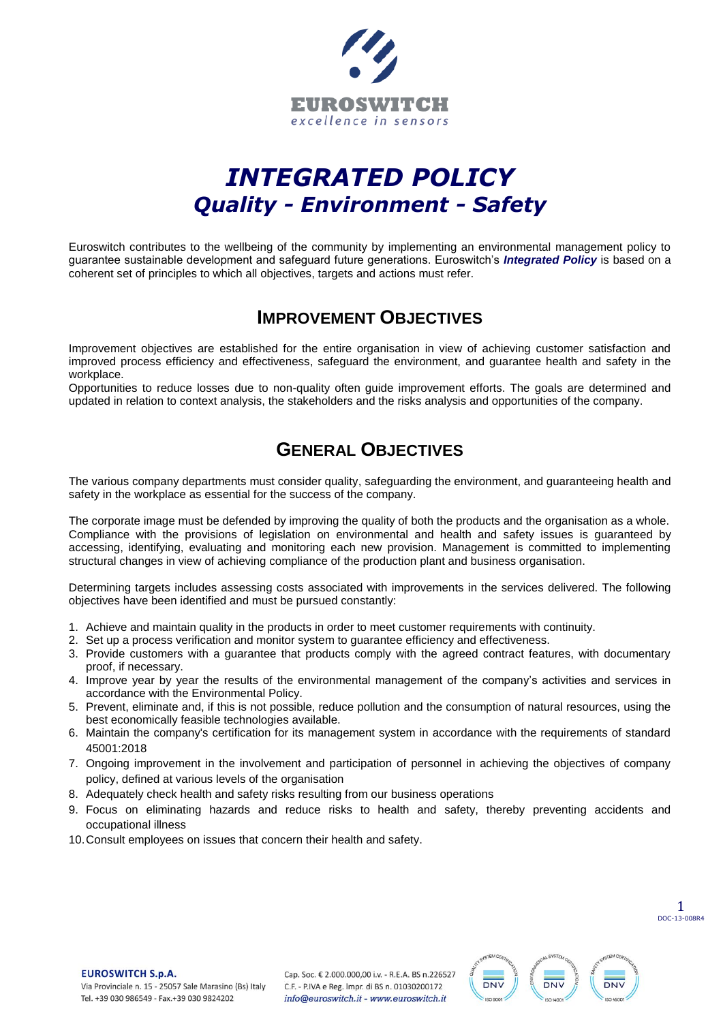

# *INTEGRATED POLICY Quality - Environment - Safety*

Euroswitch contributes to the wellbeing of the community by implementing an environmental management policy to guarantee sustainable development and safeguard future generations. Euroswitch's *Integrated Policy* is based on a coherent set of principles to which all objectives, targets and actions must refer.

### **IMPROVEMENT OBJECTIVES**

Improvement objectives are established for the entire organisation in view of achieving customer satisfaction and improved process efficiency and effectiveness, safeguard the environment, and guarantee health and safety in the workplace.

Opportunities to reduce losses due to non-quality often guide improvement efforts. The goals are determined and updated in relation to context analysis, the stakeholders and the risks analysis and opportunities of the company.

# **GENERAL OBJECTIVES**

The various company departments must consider quality, safeguarding the environment, and guaranteeing health and safety in the workplace as essential for the success of the company.

The corporate image must be defended by improving the quality of both the products and the organisation as a whole. Compliance with the provisions of legislation on environmental and health and safety issues is guaranteed by accessing, identifying, evaluating and monitoring each new provision. Management is committed to implementing structural changes in view of achieving compliance of the production plant and business organisation.

Determining targets includes assessing costs associated with improvements in the services delivered. The following objectives have been identified and must be pursued constantly:

- 1. Achieve and maintain quality in the products in order to meet customer requirements with continuity.
- 2. Set up a process verification and monitor system to guarantee efficiency and effectiveness.
- 3. Provide customers with a guarantee that products comply with the agreed contract features, with documentary proof, if necessary.
- 4. Improve year by year the results of the environmental management of the company's activities and services in accordance with the Environmental Policy.
- 5. Prevent, eliminate and, if this is not possible, reduce pollution and the consumption of natural resources, using the best economically feasible technologies available.
- 6. Maintain the company's certification for its management system in accordance with the requirements of standard 45001:2018
- 7. Ongoing improvement in the involvement and participation of personnel in achieving the objectives of company policy, defined at various levels of the organisation
- 8. Adequately check health and safety risks resulting from our business operations
- 9. Focus on eliminating hazards and reduce risks to health and safety, thereby preventing accidents and occupational illness
- 10.Consult employees on issues that concern their health and safety.

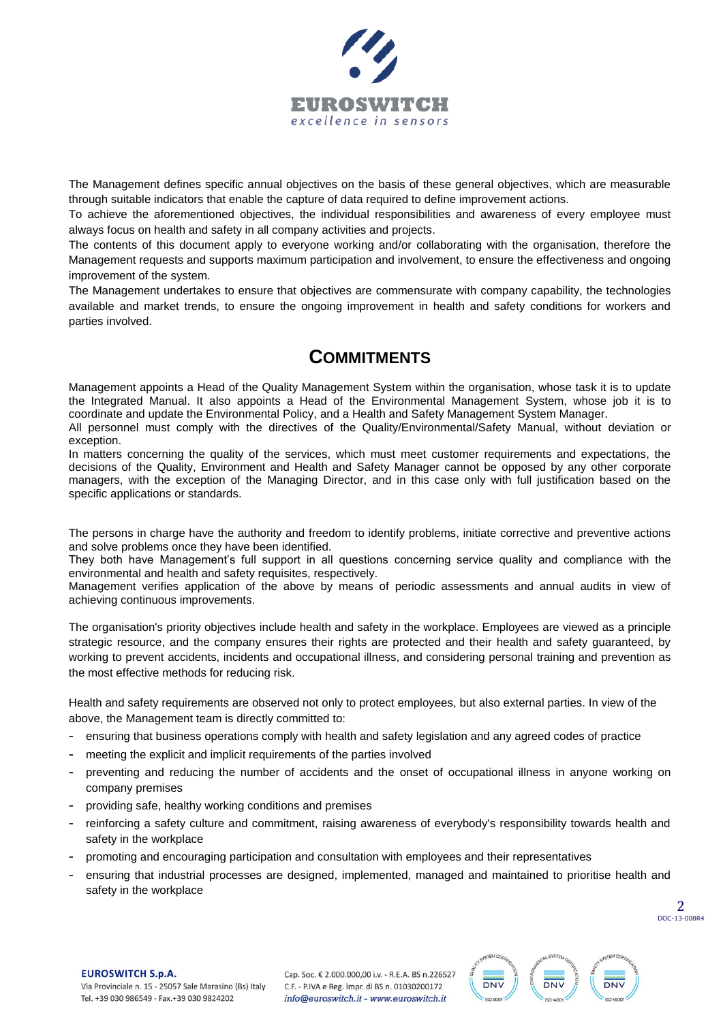

The Management defines specific annual objectives on the basis of these general objectives, which are measurable through suitable indicators that enable the capture of data required to define improvement actions.

To achieve the aforementioned objectives, the individual responsibilities and awareness of every employee must always focus on health and safety in all company activities and projects.

The contents of this document apply to everyone working and/or collaborating with the organisation, therefore the Management requests and supports maximum participation and involvement, to ensure the effectiveness and ongoing improvement of the system.

The Management undertakes to ensure that objectives are commensurate with company capability, the technologies available and market trends, to ensure the ongoing improvement in health and safety conditions for workers and parties involved.

# **COMMITMENTS**

Management appoints a Head of the Quality Management System within the organisation, whose task it is to update the Integrated Manual. It also appoints a Head of the Environmental Management System, whose job it is to coordinate and update the Environmental Policy, and a Health and Safety Management System Manager.

All personnel must comply with the directives of the Quality/Environmental/Safety Manual, without deviation or exception.

In matters concerning the quality of the services, which must meet customer requirements and expectations, the decisions of the Quality, Environment and Health and Safety Manager cannot be opposed by any other corporate managers, with the exception of the Managing Director, and in this case only with full justification based on the specific applications or standards.

The persons in charge have the authority and freedom to identify problems, initiate corrective and preventive actions and solve problems once they have been identified.

They both have Management's full support in all questions concerning service quality and compliance with the environmental and health and safety requisites, respectively.

Management verifies application of the above by means of periodic assessments and annual audits in view of achieving continuous improvements.

The organisation's priority objectives include health and safety in the workplace. Employees are viewed as a principle strategic resource, and the company ensures their rights are protected and their health and safety guaranteed, by working to prevent accidents, incidents and occupational illness, and considering personal training and prevention as the most effective methods for reducing risk.

Health and safety requirements are observed not only to protect employees, but also external parties. In view of the above, the Management team is directly committed to:

- ensuring that business operations comply with health and safety legislation and any agreed codes of practice
- meeting the explicit and implicit requirements of the parties involved
- preventing and reducing the number of accidents and the onset of occupational illness in anyone working on company premises
- providing safe, healthy working conditions and premises
- reinforcing a safety culture and commitment, raising awareness of everybody's responsibility towards health and safety in the workplace
- promoting and encouraging participation and consultation with employees and their representatives
- ensuring that industrial processes are designed, implemented, managed and maintained to prioritise health and safety in the workplace